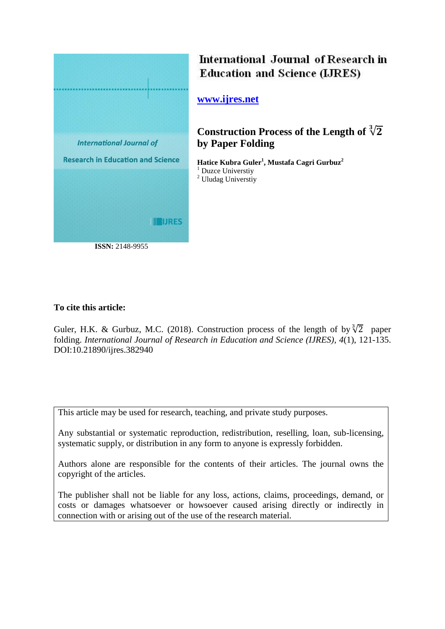

International Journal of Research in **Education and Science (LJRES)** 

**[www.ijres.net](http://www.ijres.net/)**

**Construction Process of the Length of** √ **by Paper Folding** 

**Hatice Kubra Guler<sup>1</sup> , Mustafa Cagri Gurbuz 2** <sup>1</sup> Duzce Universtiy <sup>2</sup> Uludag Universtiy

## **To cite this article:**

Guler, H.K. & Gurbuz, M.C. (2018). Construction process of the length of by  $\sqrt[3]{2}$  paper folding. *International Journal of Research in Education and Science (IJRES), 4*(1), 121-135. DOI:10.21890/ijres.382940

This article may be used for research, teaching, and private study purposes.

Any substantial or systematic reproduction, redistribution, reselling, loan, sub-licensing, systematic supply, or distribution in any form to anyone is expressly forbidden.

Authors alone are responsible for the contents of their articles. The journal owns the copyright of the articles.

The publisher shall not be liable for any loss, actions, claims, proceedings, demand, or costs or damages whatsoever or howsoever caused arising directly or indirectly in connection with or arising out of the use of the research material.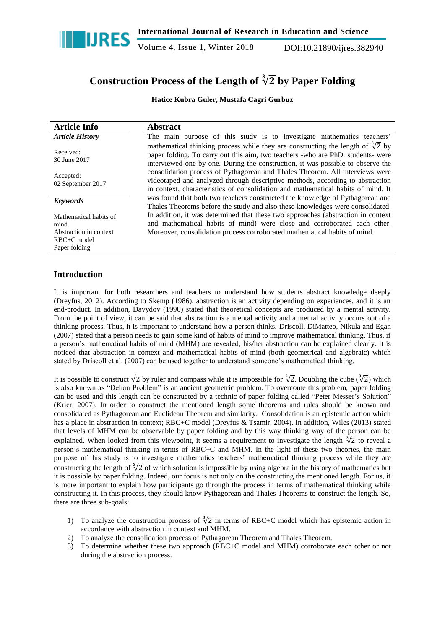

Volume 4, Issue 1, Winter 2018 DOI:10.21890/ijres.382940

# Construction Process of the Length of <sup>3</sup>√2 by Paper Folding

**Hatice Kubra Guler, Mustafa Cagri Gurbuz**

| <b>Article Info</b>            | <b>Abstract</b>                                                                                                                                                                                                                                                |
|--------------------------------|----------------------------------------------------------------------------------------------------------------------------------------------------------------------------------------------------------------------------------------------------------------|
| <b>Article History</b>         | The main purpose of this study is to investigate mathematics teachers'                                                                                                                                                                                         |
| Received:<br>30 June 2017      | mathematical thinking process while they are constructing the length of $\sqrt[3]{2}$ by<br>paper folding. To carry out this aim, two teachers -who are PhD. students- were<br>interviewed one by one. During the construction, it was possible to observe the |
| Accepted:<br>02 September 2017 | consolidation process of Pythagorean and Thales Theorem. All interviews were<br>videotaped and analyzed through descriptive methods, according to abstraction<br>in context, characteristics of consolidation and mathematical habits of mind. It              |
| <b>Keywords</b>                | was found that both two teachers constructed the knowledge of Pythagorean and<br>Thales Theorems before the study and also these knowledges were consolidated.                                                                                                 |
| Mathematical habits of<br>mind | In addition, it was determined that these two approaches (abstraction in context<br>and mathematical habits of mind) were close and corroborated each other.                                                                                                   |
| Abstraction in context         | Moreover, consolidation process corroborated mathematical habits of mind.                                                                                                                                                                                      |
| $RBC+C$ model                  |                                                                                                                                                                                                                                                                |
| Paper folding                  |                                                                                                                                                                                                                                                                |

## **Introduction**

It is important for both researchers and teachers to understand how students abstract knowledge deeply (Dreyfus, 2012). According to Skemp (1986), abstraction is an activity depending on experiences, and it is an end-product. In addition, Davydov (1990) stated that theoretical concepts are produced by a mental activity. From the point of view, it can be said that abstraction is a mental activity and a mental activity occurs out of a thinking process. Thus, it is important to understand how a person thinks. Driscoll, DiMatteo, Nikula and Egan (2007) stated that a person needs to gain some kind of habits of mind to improve mathematical thinking. Thus, if a person"s mathematical habits of mind (MHM) are revealed, his/her abstraction can be explained clearly. It is noticed that abstraction in context and mathematical habits of mind (both geometrical and algebraic) which stated by Driscoll et al. (2007) can be used together to understand someone"s mathematical thinking.

It is possible to construct  $\sqrt{2}$  by ruler and compass while it is impossible for  $\sqrt[3]{2}$ . Doubling the cube  $(\sqrt[3]{2})$  which is also known as "Delian Problem" is an ancient geometric problem. To overcome this problem, paper folding can be used and this length can be constructed by a technic of paper folding called "Peter Messer's Solution" (Krier, 2007). In order to construct the mentioned length some theorems and rules should be known and consolidated as Pythagorean and Euclidean Theorem and similarity. Consolidation is an epistemic action which has a place in abstraction in context; RBC+C model (Dreyfus & Tsamir, 2004). In addition, Wiles (2013) stated that levels of MHM can be observable by paper folding and by this way thinking way of the person can be explained. When looked from this viewpoint, it seems a requirement to investigate the length  $\sqrt[3]{2}$  to reveal a person"s mathematical thinking in terms of RBC+C and MHM. In the light of these two theories, the main purpose of this study is to investigate mathematics teachers" mathematical thinking process while they are constructing the length of  $\sqrt[3]{2}$  of which solution is impossible by using algebra in the history of mathematics but it is possible by paper folding. Indeed, our focus is not only on the constructing the mentioned length. For us, it is more important to explain how participants go through the process in terms of mathematical thinking while constructing it. In this process, they should know Pythagorean and Thales Theorems to construct the length. So, there are three sub-goals:

- 1) To analyze the construction process of  $\sqrt[3]{2}$  in terms of RBC+C model which has epistemic action in accordance with abstraction in context and MHM.
- 2) To analyze the consolidation process of Pythagorean Theorem and Thales Theorem.
- 3) To determine whether these two approach (RBC+C model and MHM) corroborate each other or not during the abstraction process.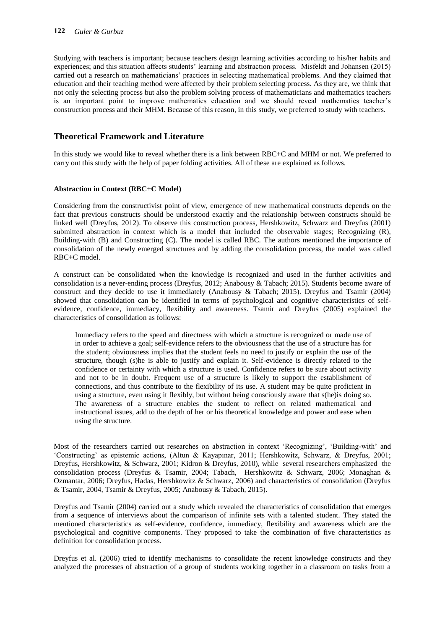Studying with teachers is important; because teachers design learning activities according to his/her habits and experiences; and this situation affects students" learning and abstraction process. Misfeldt and Johansen (2015) carried out a research on mathematicians" practices in selecting mathematical problems. And they claimed that education and their teaching method were affected by their problem selecting process. As they are, we think that not only the selecting process but also the problem solving process of mathematicians and mathematics teachers is an important point to improve mathematics education and we should reveal mathematics teacher"s construction process and their MHM. Because of this reason, in this study, we preferred to study with teachers.

## **Theoretical Framework and Literature**

In this study we would like to reveal whether there is a link between RBC+C and MHM or not. We preferred to carry out this study with the help of paper folding activities. All of these are explained as follows.

#### **Abstraction in Context (RBC+C Model)**

Considering from the constructivist point of view, emergence of new mathematical constructs depends on the fact that previous constructs should be understood exactly and the relationship between constructs should be linked well (Dreyfus, 2012). To observe this construction process, Hershkowitz, Schwarz and Dreyfus (2001) submitted abstraction in context which is a model that included the observable stages; Recognizing (R), Building-with (B) and Constructing (C). The model is called RBC. The authors mentioned the importance of consolidation of the newly emerged structures and by adding the consolidation process, the model was called RBC+C model.

A construct can be consolidated when the knowledge is recognized and used in the further activities and consolidation is a never-ending process (Dreyfus, 2012; Anabousy & Tabach; 2015). Students become aware of construct and they decide to use it immediately (Anabousy & Tabach; 2015). Dreyfus and Tsamir (2004) showed that consolidation can be identified in terms of psychological and cognitive characteristics of selfevidence, confidence, immediacy, flexibility and awareness. Tsamir and Dreyfus (2005) explained the characteristics of consolidation as follows:

Immediacy refers to the speed and directness with which a structure is recognized or made use of in order to achieve a goal; self-evidence refers to the obviousness that the use of a structure has for the student; obviousness implies that the student feels no need to justify or explain the use of the structure, though (s)he is able to justify and explain it. Self-evidence is directly related to the confidence or certainty with which a structure is used. Confidence refers to be sure about activity and not to be in doubt. Frequent use of a structure is likely to support the establishment of connections, and thus contribute to the flexibility of its use. A student may be quite proficient in using a structure, even using it flexibly, but without being consciously aware that s(he)is doing so. The awareness of a structure enables the student to reflect on related mathematical and instructional issues, add to the depth of her or his theoretical knowledge and power and ease when using the structure.

Most of the researchers carried out researches on abstraction in context "Recognizing", "Building-with" and "Constructing" as epistemic actions, (Altun & Kayapınar, 2011; Hershkowitz, Schwarz, & Dreyfus, 2001; Dreyfus, Hershkowitz, & Schwarz, 2001; Kidron & Dreyfus, 2010), while several researchers emphasized the consolidation process (Dreyfus & Tsamir, 2004; Tabach, Hershkowitz & Schwarz, 2006; Monaghan & Ozmantar, 2006; Dreyfus, Hadas, Hershkowitz & Schwarz, 2006) and characteristics of consolidation (Dreyfus & Tsamir, 2004, Tsamir & Dreyfus, 2005; Anabousy & Tabach, 2015).

Dreyfus and Tsamir (2004) carried out a study which revealed the characteristics of consolidation that emerges from a sequence of interviews about the comparison of infinite sets with a talented student. They stated the mentioned characteristics as self-evidence, confidence, immediacy, flexibility and awareness which are the psychological and cognitive components. They proposed to take the combination of five characteristics as definition for consolidation process.

Dreyfus et al. (2006) tried to identify mechanisms to consolidate the recent knowledge constructs and they analyzed the processes of abstraction of a group of students working together in a classroom on tasks from a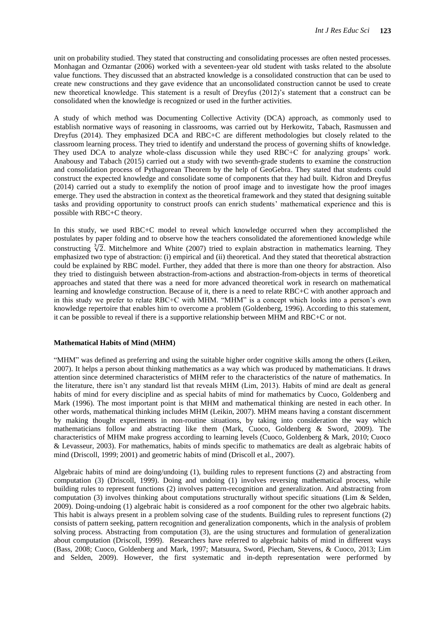unit on probability studied. They stated that constructing and consolidating processes are often nested processes. Monhagan and Ozmantar (2006) worked with a seventeen-year old student with tasks related to the absolute value functions. They discussed that an abstracted knowledge is a consolidated construction that can be used to create new constructions and they gave evidence that an unconsolidated construction cannot be used to create new theoretical knowledge. This statement is a result of Dreyfus (2012)"s statement that a construct can be consolidated when the knowledge is recognized or used in the further activities.

A study of which method was Documenting Collective Activity (DCA) approach, as commonly used to establish normative ways of reasoning in classrooms, was carried out by Herkowitz, Tabach, Rasmussen and Dreyfus (2014). They emphasized DCA and RBC+C are different methodologies but closely related to the classroom learning process. They tried to identify and understand the process of governing shifts of knowledge. They used DCA to analyze whole-class discussion while they used RBC+C for analyzing groups" work. Anabousy and Tabach (2015) carried out a study with two seventh-grade students to examine the construction and consolidation process of Pythagorean Theorem by the help of GeoGebra. They stated that students could construct the expected knowledge and consolidate some of components that they had built. Kidron and Dreyfus (2014) carried out a study to exemplify the notion of proof image and to investigate how the proof images emerge. They used the abstraction in context as the theoretical framework and they stated that designing suitable tasks and providing opportunity to construct proofs can enrich students" mathematical experience and this is possible with RBC+C theory.

In this study, we used RBC+C model to reveal which knowledge occurred when they accomplished the postulates by paper folding and to observe how the teachers consolidated the aforementioned knowledge while constructing  $\sqrt[3]{2}$ . Mitchelmore and White (2007) tried to explain abstraction in mathematics learning. They emphasized two type of abstraction: (i) empirical and (ii) theoretical. And they stated that theoretical abstraction could be explained by RBC model. Further, they added that there is more than one theory for abstraction. Also they tried to distinguish between abstraction-from-actions and abstraction-from-objects in terms of theoretical approaches and stated that there was a need for more advanced theoretical work in research on mathematical learning and knowledge construction. Because of it, there is a need to relate RBC+C with another approach and in this study we prefer to relate RBC+C with MHM. "MHM" is a concept which looks into a person"s own knowledge repertoire that enables him to overcome a problem (Goldenberg, 1996). According to this statement, it can be possible to reveal if there is a supportive relationship between MHM and RBC+C or not.

#### **Mathematical Habits of Mind (MHM)**

"MHM" was defined as preferring and using the suitable higher order cognitive skills among the others (Leiken, 2007). It helps a person about thinking mathematics as a way which was produced by mathematicians. It draws attention since determined characteristics of MHM refer to the characteristics of the nature of mathematics. In the literature, there isn"t any standard list that reveals MHM (Lim, 2013). Habits of mind are dealt as general habits of mind for every discipline and as special habits of mind for mathematics by Cuoco, Goldenberg and Mark (1996). The most important point is that MHM and mathematical thinking are nested in each other. In other words, mathematical thinking includes MHM (Leikin, 2007). MHM means having a constant discernment by making thought experiments in non-routine situations, by taking into consideration the way which mathematicians follow and abstracting like them (Mark, Cuoco, Goldenberg & Sword, 2009). The characteristics of MHM make progress according to learning levels (Cuoco, Goldenberg & Mark, 2010; Cuoco & Levasseur, 2003). For mathematics, habits of minds specific to mathematics are dealt as algebraic habits of mind (Driscoll, 1999; 2001) and geometric habits of mind (Driscoll et al., 2007).

Algebraic habits of mind are doing/undoing (1), building rules to represent functions (2) and abstracting from computation (3) (Driscoll, 1999). Doing and undoing (1) involves reversing mathematical process, while building rules to represent functions (2) involves pattern-recognition and generalization. And abstracting from computation (3) involves thinking about computations structurally without specific situations (Lim & Selden, 2009). Doing-undoing (1) algebraic habit is considered as a roof component for the other two algebraic habits. This habit is always present in a problem solving case of the students. Building rules to represent functions (2) consists of pattern seeking, pattern recognition and generalization components, which in the analysis of problem solving process. Abstracting from computation (3), are the using structures and formulation of generalization about computation (Driscoll, 1999). Researchers have referred to algebraic habits of mind in different ways (Bass, 2008; Cuoco, Goldenberg and Mark, 1997; Matsuura, Sword, Piecham, Stevens, & Cuoco, 2013; Lim and Selden, 2009). However, the first systematic and in-depth representation were performed by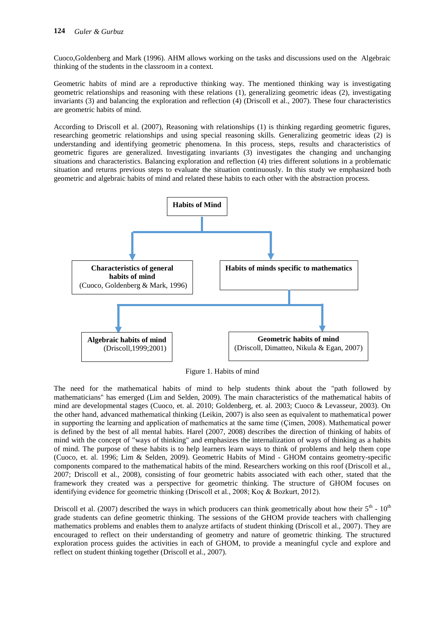Cuoco,Goldenberg and Mark (1996). AHM allows working on the tasks and discussions used on the Algebraic thinking of the students in the classroom in a context.

Geometric habits of mind are a reproductive thinking way. The mentioned thinking way is investigating geometric relationships and reasoning with these relations (1), generalizing geometric ideas (2), investigating invariants (3) and balancing the exploration and reflection (4) (Driscoll et al., 2007). These four characteristics are geometric habits of mind.

According to Driscoll et al. (2007), Reasoning with relationships (1) is thinking regarding geometric figures, researching geometric relationships and using special reasoning skills. Generalizing geometric ideas (2) is understanding and identifying geometric phenomena. In this process, steps, results and characteristics of geometric figures are generalized. Investigating invariants (3) investigates the changing and unchanging situations and characteristics. Balancing exploration and reflection (4) tries different solutions in a problematic situation and returns previous steps to evaluate the situation continuously. In this study we emphasized both geometric and algebraic habits of mind and related these habits to each other with the abstraction process.



Figure 1. Habits of mind

The need for the mathematical habits of mind to help students think about the "path followed by mathematicians" has emerged (Lim and Selden, 2009). The main characteristics of the mathematical habits of mind are developmental stages (Cuoco, et. al. 2010; Goldenberg, et. al. 2003; Cuoco & Levasseur, 2003). On the other hand, advanced mathematical thinking (Leikin, 2007) is also seen as equivalent to mathematical power in supporting the learning and application of mathematics at the same time (Çimen, 2008). Mathematical power is defined by the best of all mental habits. Harel (2007, 2008) describes the direction of thinking of habits of mind with the concept of "ways of thinking" and emphasizes the internalization of ways of thinking as a habits of mind. The purpose of these habits is to help learners learn ways to think of problems and help them cope (Cuoco, et. al. 1996; Lim & Selden, 2009). Geometric Habits of Mind - GHOM contains geometry-specific components compared to the mathematical habits of the mind. Researchers working on this roof (Driscoll et al., 2007; Driscoll et al., 2008), consisting of four geometric habits associated with each other, stated that the framework they created was a perspective for geometric thinking. The structure of GHOM focuses on identifying evidence for geometric thinking (Driscoll et al., 2008; Koç & Bozkurt, 2012).

Driscoll et al. (2007) described the ways in which producers can think geometrically about how their  $5<sup>th</sup>$  -  $10<sup>th</sup>$ grade students can define geometric thinking. The sessions of the GHOM provide teachers with challenging mathematics problems and enables them to analyze artifacts of student thinking (Driscoll et al., 2007). They are encouraged to reflect on their understanding of geometry and nature of geometric thinking. The structured exploration process guides the activities in each of GHOM, to provide a meaningful cycle and explore and reflect on student thinking together (Driscoll et al., 2007).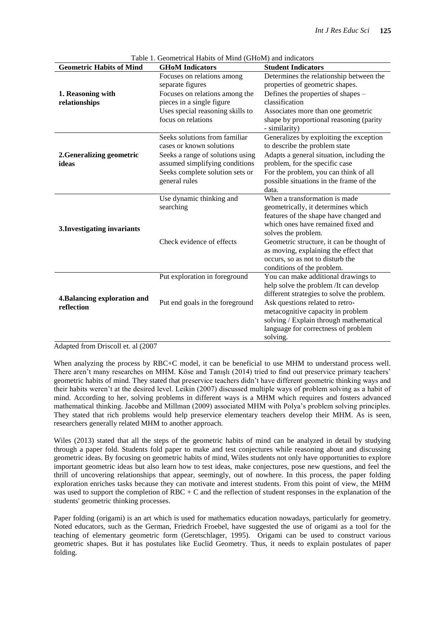|                                            | Table 1. Geometrical Habits of Mind (GHOM) and indicators                                                                                                                           |                                                                                                                                                                                                                                                                                                                                    |
|--------------------------------------------|-------------------------------------------------------------------------------------------------------------------------------------------------------------------------------------|------------------------------------------------------------------------------------------------------------------------------------------------------------------------------------------------------------------------------------------------------------------------------------------------------------------------------------|
| <b>Geometric Habits of Mind</b>            | <b>GHoM</b> Indicators                                                                                                                                                              | <b>Student Indicators</b>                                                                                                                                                                                                                                                                                                          |
| 1. Reasoning with<br>relationships         | Focuses on relations among<br>separate figures<br>Focuses on relations among the<br>pieces in a single figure<br>Uses special reasoning skills to<br>focus on relations             | Determines the relationship between the<br>properties of geometric shapes.<br>Defines the properties of shapes –<br>classification<br>Associates more than one geometric<br>shape by proportional reasoning (parity<br>- similarity)                                                                                               |
| 2. Generalizing geometric<br>ideas         | Seeks solutions from familiar<br>cases or known solutions<br>Seeks a range of solutions using<br>assumed simplifying conditions<br>Seeks complete solution sets or<br>general rules | Generalizes by exploiting the exception<br>to describe the problem state<br>Adapts a general situation, including the<br>problem, for the specific case<br>For the problem, you can think of all<br>possible situations in the frame of the<br>data.                                                                               |
| 3. Investigating invariants                | Use dynamic thinking and<br>searching<br>Check evidence of effects                                                                                                                  | When a transformation is made<br>geometrically, it determines which<br>features of the shape have changed and<br>which ones have remained fixed and<br>solves the problem.<br>Geometric structure, it can be thought of<br>as moving, explaining the effect that<br>occurs, so as not to disturb the<br>conditions of the problem. |
| 4. Balancing exploration and<br>reflection | Put exploration in foreground<br>Put end goals in the foreground                                                                                                                    | You can make additional drawings to<br>help solve the problem /It can develop<br>different strategies to solve the problem.<br>Ask questions related to retro-<br>metacognitive capacity in problem<br>solving / Explain through mathematical<br>language for correctness of problem<br>solving.                                   |

Table 1. Geometrical Habits of Mind (GHoM) and indicators

Adapted from Driscoll et. al (2007

When analyzing the process by RBC+C model, it can be beneficial to use MHM to understand process well. There aren't many researches on MHM. Köse and Tanışlı (2014) tried to find out preservice primary teachers' geometric habits of mind. They stated that preservice teachers didn"t have different geometric thinking ways and their habits weren"t at the desired level. Leikin (2007) discussed multiple ways of problem solving as a habit of mind. According to her, solving problems in different ways is a MHM which requires and fosters advanced mathematical thinking. Jacobbe and Millman (2009) associated MHM with Polya"s problem solving principles. They stated that rich problems would help preservice elementary teachers develop their MHM. As is seen, researchers generally related MHM to another approach.

Wiles (2013) stated that all the steps of the geometric habits of mind can be analyzed in detail by studying through a paper fold. Students fold paper to make and test conjectures while reasoning about and discussing geometric ideas. By focusing on geometric habits of mind, Wiles students not only have opportunities to explore important geometric ideas but also learn how to test ideas, make conjectures, pose new questions, and feel the thrill of uncovering relationships that appear, seemingly, out of nowhere. In this process, the paper folding exploration enriches tasks because they can motivate and interest students. From this point of view, the MHM was used to support the completion of RBC + C and the reflection of student responses in the explanation of the students' geometric thinking processes.

Paper folding (origami) is an art which is used for mathematics education nowadays, particularly for geometry. Noted educators, such as the German, Friedrich Froebel, have suggested the use of origami as a tool for the teaching of elementary geometric form (Geretschlager, 1995). Origami can be used to construct various geometric shapes. But it has postulates like Euclid Geometry. Thus, it needs to explain postulates of paper folding.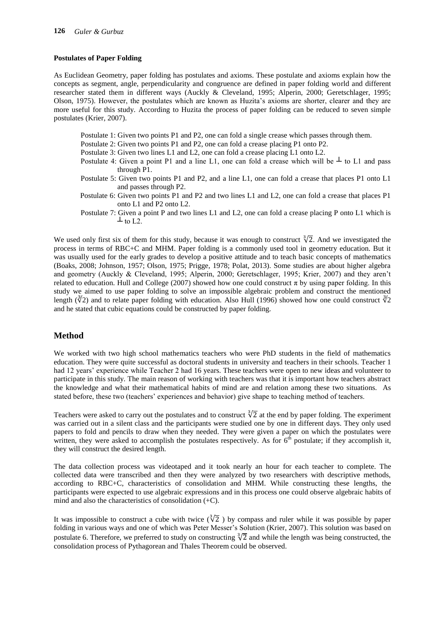#### **Postulates of Paper Folding**

As Euclidean Geometry, paper folding has postulates and axioms. These postulate and axioms explain how the concepts as segment, angle, perpendicularity and congruence are defined in paper folding world and different researcher stated them in different ways (Auckly & Cleveland, 1995; Alperin, 2000; Geretschlager, 1995; Olson, 1975). However, the postulates which are known as Huzita"s axioms are shorter, clearer and they are more useful for this study. According to Huzita the process of paper folding can be reduced to seven simple postulates (Krier, 2007).

- Postulate 1: Given two points P1 and P2, one can fold a single crease which passes through them.
- Postulate 2: Given two points P1 and P2, one can fold a crease placing P1 onto P2.
- Postulate 3: Given two lines L1 and L2, one can fold a crease placing L1 onto L2.
- Postulate 4: Given a point P1 and a line L1, one can fold a crease which will be  $\perp$  to L1 and pass through P1.
- Postulate 5: Given two points P1 and P2, and a line L1, one can fold a crease that places P1 onto L1 and passes through P2.
- Postulate 6: Given two points P1 and P2 and two lines L1 and L2, one can fold a crease that places P1 onto L1 and P2 onto L2.
- Postulate 7: Given a point P and two lines L1 and L2, one can fold a crease placing P onto L1 which is  $\perp$  to L2.

We used only first six of them for this study, because it was enough to construct  $\sqrt[3]{2}$ . And we investigated the process in terms of RBC+C and MHM. Paper folding is a commonly used tool in geometry education. But it was usually used for the early grades to develop a positive attitude and to teach basic concepts of mathematics (Boaks, 2008; Johnson, 1957; Olson, 1975; Prigge, 1978; Polat, 2013). Some studies are about higher algebra and geometry (Auckly & Cleveland, 1995; Alperin, 2000; Geretschlager, 1995; Krier, 2007) and they aren"t related to education. Hull and College (2007) showed how one could construct π by using paper folding. In this study we aimed to use paper folding to solve an impossible algebraic problem and construct the mentioned length ( $\sqrt[3]{2}$ ) and to relate paper folding with education. Also Hull (1996) showed how one could construct  $\sqrt[3]{2}$ and he stated that cubic equations could be constructed by paper folding.

## **Method**

We worked with two high school mathematics teachers who were PhD students in the field of mathematics education. They were quite successful as doctoral students in university and teachers in their schools. Teacher 1 had 12 years' experience while Teacher 2 had 16 years. These teachers were open to new ideas and volunteer to participate in this study. The main reason of working with teachers was that it is important how teachers abstract the knowledge and what their mathematical habits of mind are and relation among these two situations. As stated before, these two (teachers' experiences and behavior) give shape to teaching method of teachers.

Teachers were asked to carry out the postulates and to construct  $\sqrt[3]{2}$  at the end by paper folding. The experiment was carried out in a silent class and the participants were studied one by one in different days. They only used papers to fold and pencils to draw when they needed. They were given a paper on which the postulates were written, they were asked to accomplish the postulates respectively. As for  $6<sup>th</sup>$  postulate; if they accomplish it, they will construct the desired length.

The data collection process was videotaped and it took nearly an hour for each teacher to complete. The collected data were transcribed and then they were analyzed by two researchers with descriptive methods, according to RBC+C, characteristics of consolidation and MHM. While constructing these lengths, the participants were expected to use algebraic expressions and in this process one could observe algebraic habits of mind and also the characteristics of consolidation (+C).

It was impossible to construct a cube with twice  $(\sqrt[3]{2})$  by compass and ruler while it was possible by paper folding in various ways and one of which was Peter Messer"s Solution (Krier, 2007). This solution was based on postulate 6. Therefore, we preferred to study on constructing  $\sqrt[3]{2}$  and while the length was being constructed, the consolidation process of Pythagorean and Thales Theorem could be observed.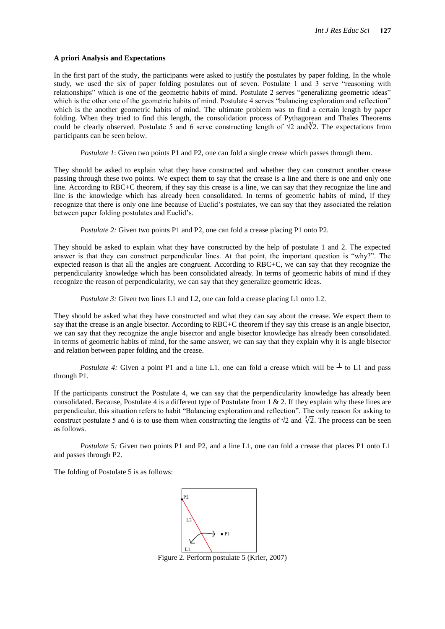#### **A priori Analysis and Expectations**

In the first part of the study, the participants were asked to justify the postulates by paper folding. In the whole study, we used the six of paper folding postulates out of seven. Postulate 1 and 3 serve "reasoning with relationships" which is one of the geometric habits of mind. Postulate 2 serves "generalizing geometric ideas" which is the other one of the geometric habits of mind. Postulate 4 serves "balancing exploration and reflection" which is the another geometric habits of mind. The ultimate problem was to find a certain length by paper folding. When they tried to find this length, the consolidation process of Pythagorean and Thales Theorems could be clearly observed. Postulate 5 and 6 serve constructing length of  $\sqrt{2}$  and  $\sqrt[3]{2}$ . The expectations from participants can be seen below.

*Postulate 1*: Given two points P1 and P2, one can fold a single crease which passes through them.

They should be asked to explain what they have constructed and whether they can construct another crease passing through these two points. We expect them to say that the crease is a line and there is one and only one line. According to RBC+C theorem, if they say this crease is a line, we can say that they recognize the line and line is the knowledge which has already been consolidated. In terms of geometric habits of mind, if they recognize that there is only one line because of Euclid"s postulates, we can say that they associated the relation between paper folding postulates and Euclid"s.

*Postulate 2:* Given two points P1 and P2, one can fold a crease placing P1 onto P2.

They should be asked to explain what they have constructed by the help of postulate 1 and 2. The expected answer is that they can construct perpendicular lines. At that point, the important question is "why?". The expected reason is that all the angles are congruent. According to RBC+C, we can say that they recognize the perpendicularity knowledge which has been consolidated already. In terms of geometric habits of mind if they recognize the reason of perpendicularity, we can say that they generalize geometric ideas.

*Postulate 3:* Given two lines L1 and L2, one can fold a crease placing L1 onto L2.

They should be asked what they have constructed and what they can say about the crease. We expect them to say that the crease is an angle bisector. According to RBC+C theorem if they say this crease is an angle bisector, we can say that they recognize the angle bisector and angle bisector knowledge has already been consolidated. In terms of geometric habits of mind, for the same answer, we can say that they explain why it is angle bisector and relation between paper folding and the crease.

*Postulate 4:* Given a point P1 and a line L1, one can fold a crease which will be  $\perp$  to L1 and pass through P1.

If the participants construct the Postulate 4, we can say that the perpendicularity knowledge has already been consolidated. Because, Postulate 4 is a different type of Postulate from  $1 \& 2$ . If they explain why these lines are perpendicular, this situation refers to habit "Balancing exploration and reflection". The only reason for asking to construct postulate 5 and 6 is to use them when constructing the lengths of  $\sqrt{2}$  and  $\sqrt[3]{2}$ . The process can be seen as follows.

*Postulate 5:* Given two points P1 and P2, and a line L1, one can fold a crease that places P1 onto L1 and passes through P2.

The folding of Postulate 5 is as follows:



Figure 2. Perform postulate 5 (Krier, 2007)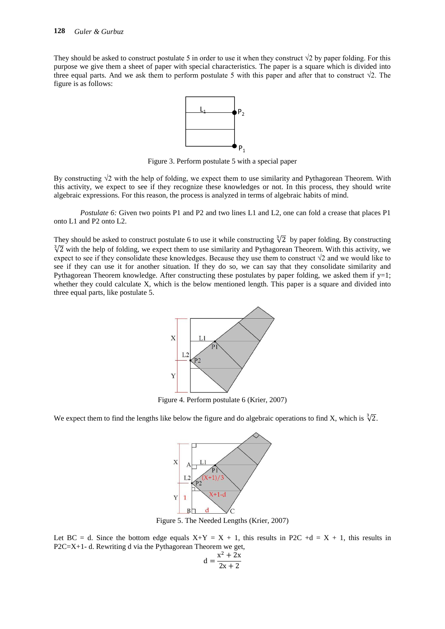They should be asked to construct postulate 5 in order to use it when they construct  $\sqrt{2}$  by paper folding. For this purpose we give them a sheet of paper with special characteristics. The paper is a square which is divided into three equal parts. And we ask them to perform postulate 5 with this paper and after that to construct  $\sqrt{2}$ . The figure is as follows:



Figure 3. Perform postulate 5 with a special paper

By constructing  $\sqrt{2}$  with the help of folding, we expect them to use similarity and Pythagorean Theorem. With this activity, we expect to see if they recognize these knowledges or not. In this process, they should write algebraic expressions. For this reason, the process is analyzed in terms of algebraic habits of mind.

*Postulate 6:* Given two points P1 and P2 and two lines L1 and L2, one can fold a crease that places P1 onto L1 and P2 onto L2.

They should be asked to construct postulate 6 to use it while constructing  $\sqrt[3]{2}$  by paper folding. By constructing  $\sqrt[3]{2}$  with the help of folding, we expect them to use similarity and Pythagorean Theorem. With this activity, we expect to see if they consolidate these knowledges. Because they use them to construct  $\sqrt{2}$  and we would like to see if they can use it for another situation. If they do so, we can say that they consolidate similarity and Pythagorean Theorem knowledge. After constructing these postulates by paper folding, we asked them if  $y=1$ ; whether they could calculate X, which is the below mentioned length. This paper is a square and divided into three equal parts, like postulate 5.



Figure 4. Perform postulate 6 (Krier, 2007)

We expect them to find the lengths like below the figure and do algebraic operations to find X, which is  $\sqrt[3]{2}$ .



Figure 5. The Needed Lengths (Krier, 2007)

Let BC = d. Since the bottom edge equals  $X+Y = X + 1$ , this results in P2C +d = X + 1, this results in P2C=X+1- d. Rewriting d via the Pythagorean Theorem we get, X  $\overline{\mathbf{c}}$ 

$$
d = \frac{x^2 + 2x}{2x + 2}
$$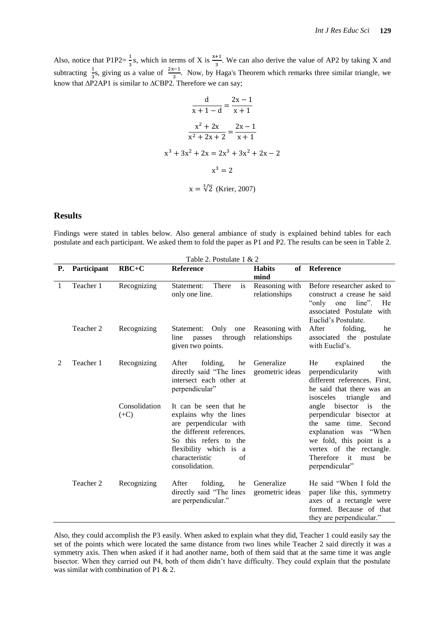Also, notice that P1P2= $\frac{1}{3}$ s, which in terms of X is  $\frac{x+1}{3}$ . We can also derive the value of AP2 by taking X and subtracting  $\frac{1}{3}$ s, giving us a value of  $\frac{2x-1}{3}$ . Now, by Haga's Theorem which remarks three similar triangle, we know that ∆P2AP1 is similar to ∆CBP2. Therefore we can say;

$$
\frac{d}{x+1-d} = \frac{2x-1}{x+1}
$$

$$
\frac{x^2+2x}{x^2+2x+2} = \frac{2x-1}{x+1}
$$

$$
x^3+3x^2+2x = 2x^3+3x^2+2x-2
$$

$$
x^3 = 2
$$

$$
x = \sqrt[3]{2}
$$
 (Krier, 2007)

#### **Results**

Findings were stated in tables below. Also general ambiance of study is explained behind tables for each postulate and each participant. We asked them to fold the paper as P1 and P2. The results can be seen in Table 2.

|           | Table 2. Postulate 1 & 2 |                         |                                                                                                                                                                                                      |                                 |                                                                                                                                                                                                                       |
|-----------|--------------------------|-------------------------|------------------------------------------------------------------------------------------------------------------------------------------------------------------------------------------------------|---------------------------------|-----------------------------------------------------------------------------------------------------------------------------------------------------------------------------------------------------------------------|
| <b>P.</b> | Participant              | $RBC+C$                 | Reference                                                                                                                                                                                            | <b>Habits</b><br>mind           | of Reference                                                                                                                                                                                                          |
| 1         | Teacher 1                | Recognizing             | Statement:<br>There<br>is<br>only one line.                                                                                                                                                          | Reasoning with<br>relationships | Before researcher asked to<br>construct a crease he said<br>$line"$ .<br>"only one"<br>He<br>associated Postulate<br>with<br>Euclid's Postulate.                                                                      |
|           | Teacher 2                | Recognizing             | Only<br>Statement:<br>one<br>through<br>line<br>passes<br>given two points.                                                                                                                          | Reasoning with<br>relationships | After<br>folding,<br>he<br>associated the postulate<br>with Euclid's.                                                                                                                                                 |
| 2         | Teacher 1                | Recognizing             | After<br>folding,<br>he<br>directly said "The lines<br>intersect each other at<br>perpendicular"                                                                                                     | Generalize<br>geometric ideas   | He<br>explained<br>the<br>perpendicularity<br>with<br>different references. First,<br>he said that there was an<br>isosceles<br>triangle<br>and                                                                       |
|           |                          | Consolidation<br>$(+C)$ | It can be seen that he<br>explains why the lines<br>are perpendicular with<br>the different references.<br>So this refers to the<br>flexibility which is a<br>characteristic<br>of<br>consolidation. |                                 | angle<br>bisector is<br>the<br>perpendicular bisector at<br>the same time. Second<br>explanation was "When<br>we fold, this point is a<br>vertex of the rectangle.<br>Therefore<br>it<br>must<br>be<br>perpendicular" |
|           | Teacher 2                | Recognizing             | After<br>folding,<br>he<br>directly said "The lines<br>are perpendicular."                                                                                                                           | Generalize<br>geometric ideas   | He said "When I fold the<br>paper like this, symmetry<br>axes of a rectangle were<br>formed. Because of that<br>they are perpendicular."                                                                              |

Also, they could accomplish the P3 easily. When asked to explain what they did, Teacher 1 could easily say the set of the points which were located the same distance from two lines while Teacher 2 said directly it was a symmetry axis. Then when asked if it had another name, both of them said that at the same time it was angle bisector. When they carried out P4, both of them didn"t have difficulty. They could explain that the postulate was similar with combination of P1 & 2.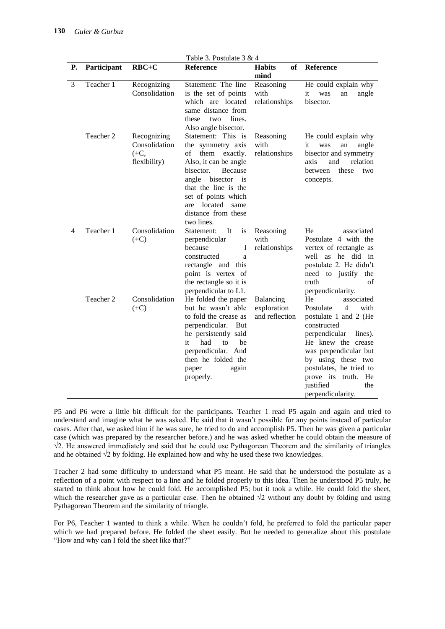|                | Table 3. Postulate 3 & 4 |                                                        |                                                                                                                                                                                                                                                       |                                            |                                                                                                                                                                                                                                                                                   |
|----------------|--------------------------|--------------------------------------------------------|-------------------------------------------------------------------------------------------------------------------------------------------------------------------------------------------------------------------------------------------------------|--------------------------------------------|-----------------------------------------------------------------------------------------------------------------------------------------------------------------------------------------------------------------------------------------------------------------------------------|
| P.             | Participant              | $RBC+C$                                                | Reference                                                                                                                                                                                                                                             | <b>Habits</b><br>of<br>mind                | Reference                                                                                                                                                                                                                                                                         |
| 3              | Teacher 1                | Recognizing<br>Consolidation                           | Statement: The line<br>is the set of points<br>which are located<br>same distance from<br>lines.<br>these<br>two<br>Also angle bisector.                                                                                                              | Reasoning<br>with<br>relationships         | He could explain why<br>it<br>angle<br>was<br>an<br>bisector.                                                                                                                                                                                                                     |
|                | Teacher 2                | Recognizing<br>Consolidation<br>$(+C,$<br>flexibility) | Statement: This is<br>the symmetry axis<br>them<br>οf<br>exactly.<br>Also, it can be angle<br>bisector.<br>Because<br>angle<br>bisector is<br>that the line is the<br>set of points which<br>are located<br>same<br>distance from these<br>two lines. | Reasoning<br>with<br>relationships         | He could explain why<br>it<br>was<br>angle<br>an<br>bisector and symmetry<br>relation<br>axis<br>and<br>between<br>these<br>two<br>concepts.                                                                                                                                      |
| $\overline{4}$ | Teacher 1                | Consolidation<br>$(+C)$                                | Statement:<br>It<br>is<br>perpendicular<br>because<br>I<br>constructed<br>a<br>rectangle and this<br>point is vertex of<br>the rectangle so it is<br>perpendicular to L1.                                                                             | Reasoning<br>with<br>relationships         | He<br>associated<br>Postulate 4 with the<br>vertex of rectangle as<br>well as he did in<br>postulate 2. He didn't<br>need to justify<br>the<br>of<br>truth<br>perpendicularity.                                                                                                   |
|                | Teacher 2                | Consolidation<br>$(+C)$                                | He folded the paper<br>but he wasn't able<br>to fold the crease as<br>perpendicular.<br>But<br>he persistently said<br>it<br>had<br>to<br>be<br>perpendicular. And<br>then he folded the<br>paper<br>again<br>properly.                               | Balancing<br>exploration<br>and reflection | He<br>associated<br>Postulate<br>4<br>with<br>postulate 1 and 2 (He<br>constructed<br>perpendicular<br>lines).<br>He knew the crease<br>was perpendicular but<br>by using these two<br>postulates, he tried to<br>prove its truth.<br>He<br>justified<br>the<br>perpendicularity. |

P5 and P6 were a little bit difficult for the participants. Teacher 1 read P5 again and again and tried to understand and imagine what he was asked. He said that it wasn"t possible for any points instead of particular cases. After that, we asked him if he was sure, he tried to do and accomplish P5. Then he was given a particular case (which was prepared by the researcher before.) and he was asked whether he could obtain the measure of √2. He answered immediately and said that he could use Pythagorean Theorem and the similarity of triangles and he obtained √2 by folding. He explained how and why he used these two knowledges.

Teacher 2 had some difficulty to understand what P5 meant. He said that he understood the postulate as a reflection of a point with respect to a line and he folded properly to this idea. Then he understood P5 truly, he started to think about how he could fold. He accomplished P5; but it took a while. He could fold the sheet, which the researcher gave as a particular case. Then he obtained  $\sqrt{2}$  without any doubt by folding and using Pythagorean Theorem and the similarity of triangle.

For P6, Teacher 1 wanted to think a while. When he couldn"t fold, he preferred to fold the particular paper which we had prepared before. He folded the sheet easily. But he needed to generalize about this postulate "How and why can I fold the sheet like that?"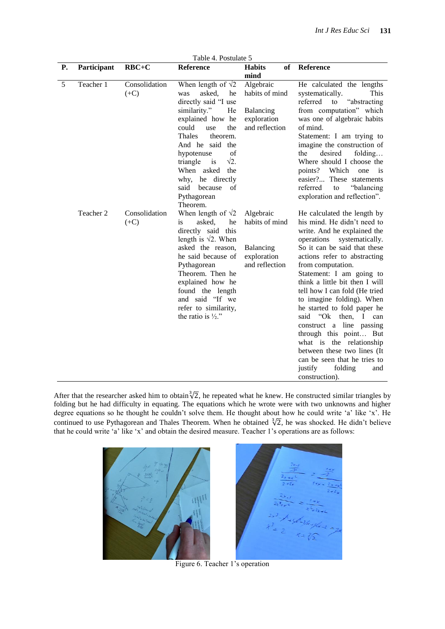|    | Table 4. Postulate 5 |                         |                                                                                                                                                                                                                                                                                                                                              |                                                                           |                                                                                                                                                                                                                                                                                                                                                                                                                                                                                                                                                                                                                       |
|----|----------------------|-------------------------|----------------------------------------------------------------------------------------------------------------------------------------------------------------------------------------------------------------------------------------------------------------------------------------------------------------------------------------------|---------------------------------------------------------------------------|-----------------------------------------------------------------------------------------------------------------------------------------------------------------------------------------------------------------------------------------------------------------------------------------------------------------------------------------------------------------------------------------------------------------------------------------------------------------------------------------------------------------------------------------------------------------------------------------------------------------------|
| Р. | Participant          | $RBC+C$                 | <b>Reference</b>                                                                                                                                                                                                                                                                                                                             | <b>Habits</b><br>оf<br>mind                                               | Reference                                                                                                                                                                                                                                                                                                                                                                                                                                                                                                                                                                                                             |
| 5  | Teacher 1            | Consolidation<br>$(+C)$ | When length of $\sqrt{2}$<br>asked,<br>he<br>was<br>directly said "I use<br>similarity."<br>He<br>explained how he<br>could<br>the<br>use<br><b>Thales</b><br>theorem.<br>And he said the<br>of<br>hypotenuse<br>$\sqrt{2}$ .<br>triangle<br>$i$ s<br>When asked<br>the<br>why, he directly<br>said because<br>of<br>Pythagorean<br>Theorem. | Algebraic<br>habits of mind<br>Balancing<br>exploration<br>and reflection | He calculated the lengths<br>systematically.<br>This<br>referred<br>"abstracting"<br>to<br>from computation" which<br>was one of algebraic habits<br>of mind.<br>Statement: I am trying to<br>imagine the construction of<br>the<br>desired<br>folding<br>Where should I choose the<br>points? Which one<br>is<br>easier? These statements<br>"balancing<br>referred<br>to<br>exploration and reflection".                                                                                                                                                                                                            |
|    | Teacher 2            | Consolidation<br>$(+C)$ | When length of $\sqrt{2}$<br>is<br>asked.<br>he<br>directly said this<br>length is $\sqrt{2}$ . When<br>asked the reason,<br>he said because of<br>Pythagorean<br>Theorem. Then he<br>explained how he<br>found the length<br>and said "If we<br>refer to similarity,<br>the ratio is $\frac{1}{2}$ ."                                       | Algebraic<br>habits of mind<br>Balancing<br>exploration<br>and reflection | He calculated the length by<br>his mind. He didn't need to<br>write. And he explained the<br>operations<br>systematically.<br>So it can be said that these<br>actions refer to abstracting<br>from computation.<br>Statement: I am going to<br>think a little bit then I will<br>tell how I can fold (He tried<br>to imagine folding). When<br>he started to fold paper he<br>said<br>"Ok<br>then,<br>$\bf{l}$<br>can<br>construct a line passing<br>through this point But<br>what is the relationship<br>between these two lines (It<br>can be seen that he tries to<br>justify<br>folding<br>and<br>construction). |

After that the researcher asked him to obtain  $\sqrt[3]{2}$ , he repeated what he knew. He constructed similar triangles by folding but he had difficulty in equating. The equations which he wrote were with two unknowns and higher degree equations so he thought he couldn't solve them. He thought about how he could write 'a' like 'x'. He continued to use Pythagorean and Thales Theorem. When he obtained  $\sqrt[3]{2}$ , he was shocked. He didn't believe that he could write "a" like "x" and obtain the desired measure. Teacher 1"s operations are as follows:



Figure 6. Teacher 1's operation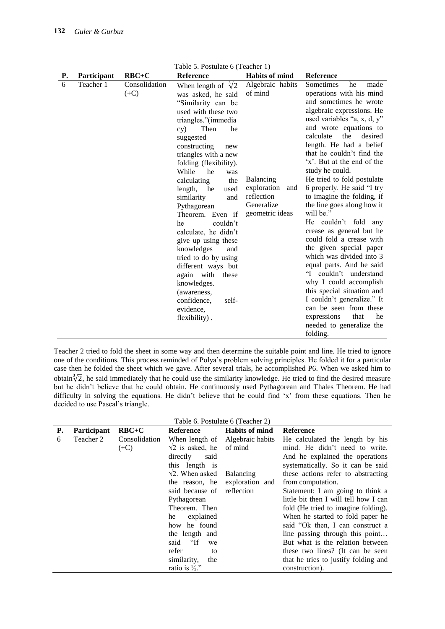Table 5. Postulate 6 (Teacher 1)

| Р. | Participant | $RBC+C$       | Reference                                | <b>Habits of mind</b> | Reference                                     |
|----|-------------|---------------|------------------------------------------|-----------------------|-----------------------------------------------|
| 6  | Teacher 1   | Consolidation | When length of $\sqrt[3]{2}$             | Algebraic habits      | Sometimes<br>he<br>made                       |
|    |             | $(+C)$        | was asked, he said                       | of mind               | operations with his mind                      |
|    |             |               | "Similarity can be                       |                       | and sometimes he wrote                        |
|    |             |               | used with these two                      |                       | algebraic expressions. He                     |
|    |             |               | triangles."(immedia                      |                       | used variables "a, x, d, y"                   |
|    |             |               | Then<br>he<br>cy)                        |                       | and wrote equations to                        |
|    |             |               | suggested                                |                       | calculate<br>the<br>desired                   |
|    |             |               | constructing<br>new                      |                       | length. He had a belief                       |
|    |             |               | triangles with a new                     |                       | that he couldn't find the                     |
|    |             |               | folding (flexibility).                   |                       | 'x'. But at the end of the                    |
|    |             |               | While<br>he<br>was                       | Balancing             | study he could.<br>He tried to fold postulate |
|    |             |               | the<br>calculating<br>length, he<br>used | exploration<br>and    | 6 properly. He said "I try                    |
|    |             |               | similarity<br>and                        | reflection            | to imagine the folding, if                    |
|    |             |               | Pythagorean                              | Generalize            | the line goes along how it                    |
|    |             |               | Theorem. Even if                         | geometric ideas       | will be."                                     |
|    |             |               | couldn't<br>he                           |                       | He couldn't fold any                          |
|    |             |               | calculate, he didn't                     |                       | crease as general but he                      |
|    |             |               | give up using these                      |                       | could fold a crease with                      |
|    |             |               | knowledges<br>and                        |                       | the given special paper                       |
|    |             |               | tried to do by using                     |                       | which was divided into 3                      |
|    |             |               | different ways but                       |                       | equal parts. And he said                      |
|    |             |               | again with these                         |                       | "I couldn't understand                        |
|    |             |               | knowledges.                              |                       | why I could accomplish                        |
|    |             |               | (awareness,                              |                       | this special situation and                    |
|    |             |               | confidence,<br>self-                     |                       | I couldn't generalize." It                    |
|    |             |               | evidence,                                |                       | can be seen from these                        |
|    |             |               | flexibility).                            |                       | that<br>expressions<br>he                     |
|    |             |               |                                          |                       | needed to generalize the                      |
|    |             |               |                                          |                       | folding.                                      |

Teacher 2 tried to fold the sheet in some way and then determine the suitable point and line. He tried to ignore one of the conditions. This process reminded of Polya"s problem solving principles. He folded it for a particular case then he folded the sheet which we gave. After several trials, he accomplished P6. When we asked him to obtain $\sqrt[3]{2}$ , he said immediately that he could use the similarity knowledge. He tried to find the desired measure but he didn"t believe that he could obtain. He continuously used Pythagorean and Thales Theorem. He had difficulty in solving the equations. He didn't believe that he could find 'x' from these equations. Then he decided to use Pascal's triangle.

|  |  | Table 6. Postulate 6 (Teacher 2) |  |
|--|--|----------------------------------|--|
|--|--|----------------------------------|--|

| Р. | <b>Participant</b> | $RBC+C$       | <b>Reference</b>              | <b>Habits of mind</b> | <b>Reference</b>                      |
|----|--------------------|---------------|-------------------------------|-----------------------|---------------------------------------|
| 6  | Teacher 2          | Consolidation | When length of                | Algebraic habits      | He calculated the length by his       |
|    |                    | $(+C)$        | $\sqrt{2}$ is asked, he       | of mind               | mind. He didn't need to write.        |
|    |                    |               | directly<br>said              |                       | And he explained the operations       |
|    |                    |               | this length is                |                       | systematically. So it can be said     |
|    |                    |               | $\sqrt{2}$ . When asked       | Balancing             | these actions refer to abstracting    |
|    |                    |               | the reason, he                | exploration and       | from computation.                     |
|    |                    |               | said because of reflection    |                       | Statement: I am going to think a      |
|    |                    |               | Pythagorean                   |                       | little bit then I will tell how I can |
|    |                    |               | Theorem. Then                 |                       | fold (He tried to imagine folding).   |
|    |                    |               | explained<br>he               |                       | When he started to fold paper he      |
|    |                    |               | how he found                  |                       | said "Ok then, I can construct a      |
|    |                    |               | the length and                |                       | line passing through this point       |
|    |                    |               | <sup>"</sup> If<br>said<br>we |                       | But what is the relation between      |
|    |                    |               | refer<br>to                   |                       | these two lines? (It can be seen      |
|    |                    |               | similarity,<br>the            |                       | that he tries to justify folding and  |
|    |                    |               | ratio is $\frac{1}{2}$ ."     |                       | construction).                        |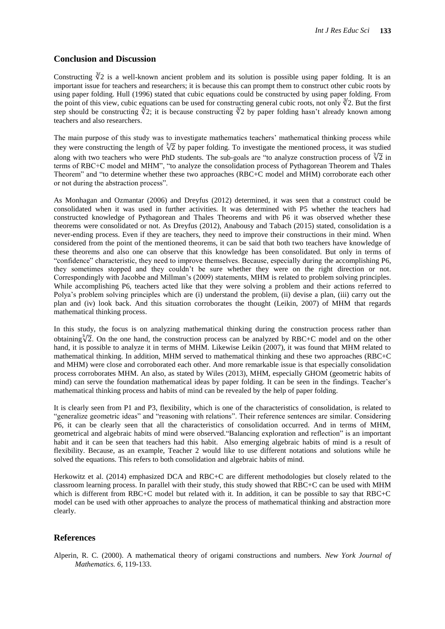### **Conclusion and Discussion**

Constructing  $\sqrt[3]{2}$  is a well-known ancient problem and its solution is possible using paper folding. It is an important issue for teachers and researchers; it is because this can prompt them to construct other cubic roots by using paper folding. Hull (1996) stated that cubic equations could be constructed by using paper folding. From the point of this view, cubic equations can be used for constructing general cubic roots, not only  $\sqrt[3]{2}$ . But the first step should be constructing  $\sqrt[3]{2}$ ; it is because constructing  $\sqrt[3]{2}$  by paper folding hasn't already known among teachers and also researchers.

The main purpose of this study was to investigate mathematics teachers" mathematical thinking process while they were constructing the length of  $\sqrt[3]{2}$  by paper folding. To investigate the mentioned process, it was studied along with two teachers who were PhD students. The sub-goals are "to analyze construction process of  $\sqrt[3]{2}$  in terms of RBC+C model and MHM", "to analyze the consolidation process of Pythagorean Theorem and Thales Theorem" and "to determine whether these two approaches (RBC+C model and MHM) corroborate each other or not during the abstraction process".

As Monhagan and Ozmantar (2006) and Dreyfus (2012) determined, it was seen that a construct could be consolidated when it was used in further activities. It was determined with P5 whether the teachers had constructed knowledge of Pythagorean and Thales Theorems and with P6 it was observed whether these theorems were consolidated or not. As Dreyfus (2012), Anabousy and Tabach (2015) stated, consolidation is a never-ending process. Even if they are teachers, they need to improve their constructions in their mind. When considered from the point of the mentioned theorems, it can be said that both two teachers have knowledge of these theorems and also one can observe that this knowledge has been consolidated. But only in terms of "confidence" characteristic, they need to improve themselves. Because, especially during the accomplishing P6, they sometimes stopped and they couldn"t be sure whether they were on the right direction or not. Correspondingly with Jacobbe and Millman"s (2009) statements, MHM is related to problem solving principles. While accomplishing P6, teachers acted like that they were solving a problem and their actions referred to Polya's problem solving principles which are (i) understand the problem, (ii) devise a plan, (iii) carry out the plan and (iv) look back. And this situation corroborates the thought (Leikin, 2007) of MHM that regards mathematical thinking process.

In this study, the focus is on analyzing mathematical thinking during the construction process rather than obtaining  $\sqrt[3]{2}$ . On the one hand, the construction process can be analyzed by RBC+C model and on the other hand, it is possible to analyze it in terms of MHM. Likewise Leikin (2007), it was found that MHM related to mathematical thinking. In addition, MHM served to mathematical thinking and these two approaches (RBC+C and MHM) were close and corroborated each other. And more remarkable issue is that especially consolidation process corroborates MHM. An also, as stated by Wiles (2013), MHM, especially GHOM (geometric habits of mind) can serve the foundation mathematical ideas by paper folding. It can be seen in the findings. Teacher"s mathematical thinking process and habits of mind can be revealed by the help of paper folding.

It is clearly seen from P1 and P3, flexibility, which is one of the characteristics of consolidation, is related to "generalize geometric ideas" and "reasoning with relations". Their reference sentences are similar. Considering P6, it can be clearly seen that all the characteristics of consolidation occurred. And in terms of MHM, geometrical and algebraic habits of mind were observed."Balancing exploration and reflection" is an important habit and it can be seen that teachers had this habit. Also emerging algebraic habits of mind is a result of flexibility. Because, as an example, Teacher 2 would like to use different notations and solutions while he solved the equations. This refers to both consolidation and algebraic habits of mind.

Herkowitz et al. (2014) emphasized DCA and RBC+C are different methodologies but closely related to the classroom learning process. In parallel with their study, this study showed that RBC+C can be used with MHM which is different from RBC+C model but related with it. In addition, it can be possible to say that RBC+C model can be used with other approaches to analyze the process of mathematical thinking and abstraction more clearly.

## **References**

Alperin, R. C. (2000). A mathematical theory of origami constructions and numbers. *New York Journal of Mathematics. 6*, 119-133.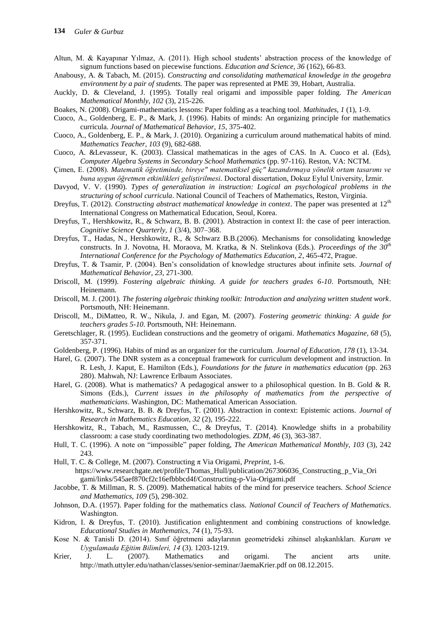- Altun, M. & Kayapınar Yılmaz, A. (2011). High school students" abstraction process of the knowledge of signum functions based on piecewise functions. *Education and Science, 36* (162), 66-83.
- Anabousy, A. & Tabach, M. (2015). *Constructing and consolidating mathematical knowledge in the geogebra environment by a pair of students.* The paper was represented at PME 39, Hobart, Australia.
- Auckly, D. & Cleveland, J. (1995). Totally real origami and impossible paper folding. *The American Mathematical Monthly, 102* (3), 215-226.
- Boakes, N. (2008). Origami-mathematics lessons: Paper folding as a teaching tool. *Mathitudes, 1* (1), 1-9.
- Cuoco, A., Goldenberg, E. P., & Mark, J. (1996). Habits of minds: An organizing principle for mathematics curricula. *Journal of Mathematical Behavior, 15*, 375-402.
- Cuoco, A., Goldenberg, E. P., & Mark, J. (2010). Organizing a curriculum around mathematical habits of mind. *Mathematics Teacher, 103* (9), 682-688.
- Cuoco, A. &Levasseur, K. (2003). Classical mathematicas in the ages of CAS. In A. Cuoco et al. (Eds), *Computer Algebra Systems in Secondary School Mathematics* (pp. 97-116). Reston, VA: NCTM.
- Çimen, E. (2008). *Matematik öğretiminde, bireye" matematiksel güç" kazandırmaya yönelik ortam tasarımı ve buna uygun öğretmen etkinlikleri geliştirilmesi.* Doctoral dissertation, Dokuz Eylul University, İzmir.
- Davyod, V. V. (1990). *Types of generalization in instruction: Logical an psychological problems in the structuring of school curricula*. National Council of Teachers of Mathematics, Reston, Virginia.
- Dreyfus, T. (2012). *Constructing abstract mathematical knowledge in context*. The paper was presented at 12<sup>th</sup> International Congress on Mathematical Education, Seoul, Korea.
- Dreyfus, T., Hershkowitz, R., & Schwarz, B. B. (2001). Abstraction in context II: the case of peer interaction. *Cognitive Science Quarterly, 1* (3/4), 307–368.
- Dreyfus, T., Hadas, N., Hershkowitz, R., & Schwarz B.B.(2006). Mechanisms for consolidating knowledge constructs. In J. Novotna, H. Moraova, M. Kratka, & N. Stelinkova (Eds.). *Proceedings of the 30th International Conference for the Psychology of Mathematics Education, 2*, 465-472, Prague.
- Dreyfus, T. & Tsamir, P. (2004). Ben"s consolidation of knowledge structures about infinite sets. *Journal of Mathematical Behavior*, *23*, 271-300.
- Driscoll, M. (1999). *Fostering algebraic thinking. A guide for teachers grades 6-10*. Portsmouth, NH: Heinemann.
- Driscoll, M. J. (2001). *The fostering algebraic thinking toolkit: Introduction and analyzing written student work*. Portsmouth, NH: Heinemann.
- Driscoll, M., DiMatteo, R. W., Nikula, J. and Egan, M. (2007). *Fostering geometric thinking: A guide for teachers grades 5-10*. Portsmouth, NH: Heinemann.
- Geretschlager, R. (1995). Euclidean constructions and the geometry of origami. *Mathematics Magazine, 68* (5), 357-371.
- Goldenberg, P. (1996). Habits of mind as an organizer for the curriculum. *Journal of Education, 178* (1), 13-34.
- Harel, G. (2007). The DNR system as a conceptual framework for curriculum development and instruction. In R. Lesh, J. Kaput, E. Hamilton (Eds.), *Foundations for the future in mathematics education* (pp. 263 280). Mahwah, NJ: Lawrence Erlbaum Associates.
- Harel, G. (2008). What is mathematics? A pedagogical answer to a philosophical question. In B. Gold & R. Simons (Eds.), *Current issues in the philosophy of mathematics from the perspective of mathematicians*. Washington, DC: Mathematical American Association.
- Hershkowitz, R., Schwarz, B. B. & Dreyfus, T. (2001). Abstraction in context: Epistemic actions. *Journal of Research in Mathematics Education*, *32* (2), 195-222.
- Hershkowitz, R., Tabach, M., Rasmussen, C., & Dreyfus, T. (2014). Knowledge shifts in a probability classroom: a case study coordinating two methodologies. *ZDM, 46* (3), 363-387.
- Hull, T. C. (1996). A note on "impossible" paper folding, *The American Mathematical Monthly, 103* (3), 242 243.
- Hull, T. C. & College, M. (2007). Constructing π Via Origami, *Preprint*, 1-6. [https://www.researchgate.net/profile/Thomas\\_Hull/publication/267306036\\_Constructing\\_p\\_Via\\_Ori](https://www.researchgate.net/profile/Thomas_Hull/publication/267306036_Constructing_p_Via_Ori%09gami/links/545aef870cf2c16efbbbcd4f/Constructing-p-Via-Origami.pdf) [gami/links/545aef870cf2c16efbbbcd4f/Constructing-p-Via-Origami.pdf](https://www.researchgate.net/profile/Thomas_Hull/publication/267306036_Constructing_p_Via_Ori%09gami/links/545aef870cf2c16efbbbcd4f/Constructing-p-Via-Origami.pdf)
- Jacobbe, T. & Millman, R. S. (2009). Mathematical habits of the mind for preservice teachers. *School Science and Mathematics, 109* (5), 298-302.
- Johnson, D.A. (1957). Paper folding for the mathematics class. *National Council of Teachers of Mathematics*. Washington.
- Kidron, I. & Dreyfus, T. (2010). Justification enlightenment and combining constructions of knowledge. *Educational Studies in Mathematics, 74* (1), 75-93.
- Kose N. & Tanisli D. (2014). Sınıf öğretmeni adaylarının geometrideki zihinsel alışkanlıkları. *Kuram ve Uygulamada Eğitim Bilimleri, 14* (3). 1203-1219.
- Krier, J. L. (2007). Mathematics and origami. The ancient arts unite. [http://math.uttyler.edu/nathan/classes/senior-seminar/JaemaKrier.pdf on 08.12.2015.](http://math.uttyler.edu/nathan/classes/senior-seminar/JaemaKrier.pdf%20on%2008.12.2015)